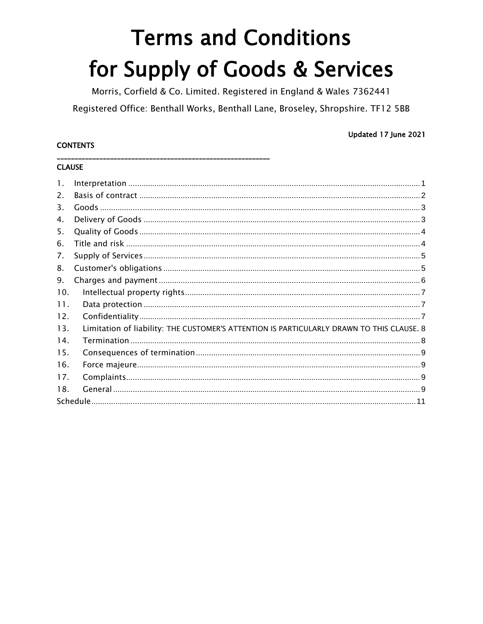# **Terms and Conditions** for Supply of Goods & Services

Morris, Corfield & Co. Limited. Registered in England & Wales 7362441 Registered Office: Benthall Works, Benthall Lane, Broseley, Shropshire. TF12 5BB

# **CONTENTS**

# Updated 17 June 2021

# **CLAUSE**

| 1.  |                                                                                           |  |
|-----|-------------------------------------------------------------------------------------------|--|
| 2.  |                                                                                           |  |
| 3.  |                                                                                           |  |
| 4.  |                                                                                           |  |
| 5.  |                                                                                           |  |
| 6.  |                                                                                           |  |
| 7.  |                                                                                           |  |
| 8.  |                                                                                           |  |
| 9.  |                                                                                           |  |
| 10. |                                                                                           |  |
| 11. |                                                                                           |  |
| 12. |                                                                                           |  |
| 13. | Limitation of liability: THE CUSTOMER'S ATTENTION IS PARTICULARLY DRAWN TO THIS CLAUSE. 8 |  |
| 14. |                                                                                           |  |
| 15. |                                                                                           |  |
| 16. |                                                                                           |  |
| 17. |                                                                                           |  |
| 18. |                                                                                           |  |
|     |                                                                                           |  |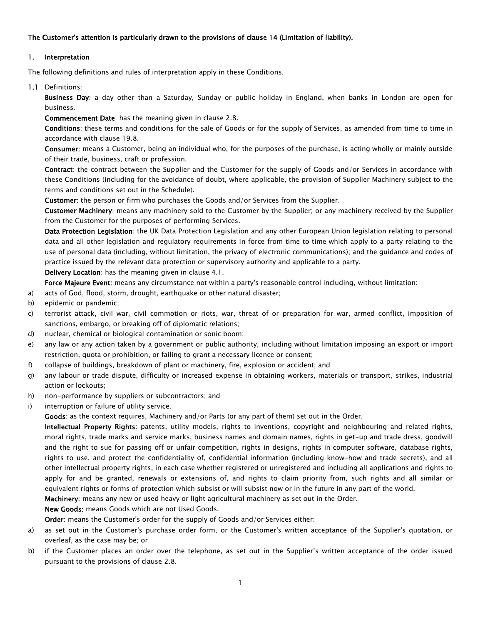## The Customer's attention is particularly drawn to the provisions of [clause 14](#page-8-0) (Limitation of liability).

## <span id="page-1-0"></span>1. Interpretation

The following definitions and rules of interpretation apply in these Conditions.

## 1.1 Definitions:

Business Day: a day other than a Saturday, Sunday or public holiday in England, when banks in London are open for business.

Commencement Date: has the meaning given i[n clause 2.8.](#page-3-2)

Conditions: these terms and conditions for the sale of Goods or for the supply of Services, as amended from time to time in accordance with [clause 19.8.](#page-10-0)

Consumer: means a Customer, being an individual who, for the purposes of the purchase, is acting wholly or mainly outside of their trade, business, craft or profession.

Contract: the contract between the Supplier and the Customer for the supply of Goods and/or Services in accordance with these Conditions (including for the avoidance of doubt, where applicable, the provision of Supplier Machinery subject to the terms and conditions set out in the Schedule).

Customer: the person or firm who purchases the Goods and/or Services from the Supplier.

Customer Machinery: means any machinery sold to the Customer by the Supplier; or any machinery received by the Supplier from the Customer for the purposes of performing Services.

Data Protection Legislation: the UK Data Protection Legislation and any other European Union legislation relating to personal data and all other legislation and regulatory requirements in force from time to time which apply to a party relating to the use of personal data (including, without limitation, the privacy of electronic communications); and the guidance and codes of practice issued by the relevant data protection or supervisory authority and applicable to a party.

Delivery Location: has the meaning given in [clause 4.1.](#page-3-3)

Force Majeure Event: means any circumstance not within a party's reasonable control including, without limitation:

- a) acts of God, flood, storm, drought, earthquake or other natural disaster;
- b) epidemic or pandemic;
- c) terrorist attack, civil war, civil commotion or riots, war, threat of or preparation for war, armed conflict, imposition of sanctions, embargo, or breaking off of diplomatic relations;
- d) nuclear, chemical or biological contamination or sonic boom;
- e) any law or any action taken by a government or public authority, including without limitation imposing an export or import restriction, quota or prohibition, or failing to grant a necessary licence or consent;
- f) collapse of buildings, breakdown of plant or machinery, fire, explosion or accident; and
- g) any labour or trade dispute, difficulty or increased expense in obtaining workers, materials or transport, strikes, industrial action or lockouts;
- h) non-performance by suppliers or subcontractors; and
- i) interruption or failure of utility service.

Goods: as the context requires, Machinery and/or Parts (or any part of them) set out in the Order.

Intellectual Property Rights: patents, utility models, rights to inventions, copyright and neighbouring and related rights, moral rights, trade marks and service marks, business names and domain names, rights in get-up and trade dress, goodwill and the right to sue for passing off or unfair competition, rights in designs, rights in computer software, database rights, rights to use, and protect the confidentiality of, confidential information (including know-how and trade secrets), and all other intellectual property rights, in each case whether registered or unregistered and including all applications and rights to apply for and be granted, renewals or extensions of, and rights to claim priority from, such rights and all similar or equivalent rights or forms of protection which subsist or will subsist now or in the future in any part of the world.

Machinery: means any new or used heavy or light agricultural machinery as set out in the Order.

New Goods: means Goods which are not Used Goods.

Order: means the Customer's order for the supply of Goods and/or Services either:

- a) as set out in the Customer's purchase order form, or the Customer's written acceptance of the Supplier's quotation, or overleaf, as the case may be; or
- b) if the Customer places an order over the telephone, as set out in the Supplier's written acceptance of the order issued pursuant to the provisions of clause 2.8.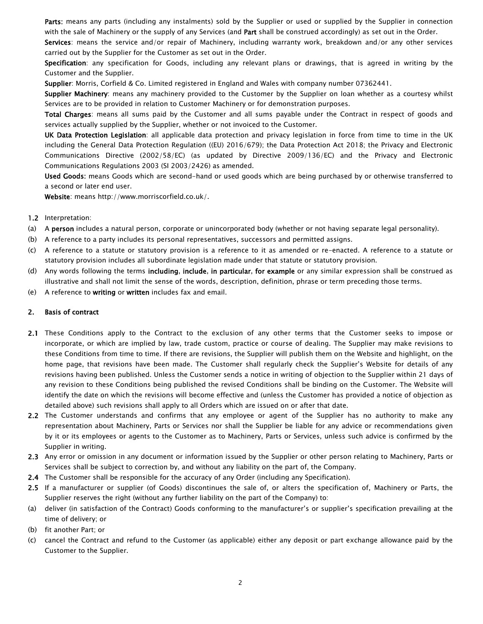Parts: means any parts (including any instalments) sold by the Supplier or used or supplied by the Supplier in connection with the sale of Machinery or the supply of any Services (and Part shall be construed accordingly) as set out in the Order.

Services: means the service and/or repair of Machinery, including warranty work, breakdown and/or any other services carried out by the Supplier for the Customer as set out in the Order.

Specification: any specification for Goods, including any relevant plans or drawings, that is agreed in writing by the Customer and the Supplier.

Supplier: Morris, Corfield & Co. Limited registered in England and Wales with company number 07362441.

Supplier Machinery: means any machinery provided to the Customer by the Supplier on loan whether as a courtesy whilst Services are to be provided in relation to Customer Machinery or for demonstration purposes.

Total Charges: means all sums paid by the Customer and all sums payable under the Contract in respect of goods and services actually supplied by the Supplier, whether or not invoiced to the Customer.

UK Data Protection Legislation: all applicable data protection and privacy legislation in force from time to time in the UK including the General Data Protection Regulation ((EU) 2016/679); the Data Protection Act 2018; the Privacy and Electronic Communications Directive (2002/58/EC) (as updated by Directive 2009/136/EC) and the Privacy and Electronic Communications Regulations 2003 (SI 2003/2426) as amended.

Used Goods: means Goods which are second-hand or used goods which are being purchased by or otherwise transferred to a second or later end user.

Website: means http://www.morriscorfield.co.uk/.

- 1.2 Interpretation:
- (a) A person includes a natural person, corporate or unincorporated body (whether or not having separate legal personality).
- (b) A reference to a party includes its personal representatives, successors and permitted assigns.
- (c) A reference to a statute or statutory provision is a reference to it as amended or re-enacted. A reference to a statute or statutory provision includes all subordinate legislation made under that statute or statutory provision.
- (d) Any words following the terms including, include, in particular, for example or any similar expression shall be construed as illustrative and shall not limit the sense of the words, description, definition, phrase or term preceding those terms.
- <span id="page-2-0"></span>(e) A reference to writing or written includes fax and email.

## 2. Basis of contract

- 2.1 These Conditions apply to the Contract to the exclusion of any other terms that the Customer seeks to impose or incorporate, or which are implied by law, trade custom, practice or course of dealing. The Supplier may make revisions to these Conditions from time to time. If there are revisions, the Supplier will publish them on the Website and highlight, on the home page, that revisions have been made. The Customer shall regularly check the Supplier's Website for details of any revisions having been published. Unless the Customer sends a notice in writing of objection to the Supplier within 21 days of any revision to these Conditions being published the revised Conditions shall be binding on the Customer. The Website will identify the date on which the revisions will become effective and (unless the Customer has provided a notice of objection as detailed above) such revisions shall apply to all Orders which are issued on or after that date.
- 2.2 The Customer understands and confirms that any employee or agent of the Supplier has no authority to make any representation about Machinery, Parts or Services nor shall the Supplier be liable for any advice or recommendations given by it or its employees or agents to the Customer as to Machinery, Parts or Services, unless such advice is confirmed by the Supplier in writing.
- 2.3 Any error or omission in any document or information issued by the Supplier or other person relating to Machinery, Parts or Services shall be subject to correction by, and without any liability on the part of, the Company.
- 2.4 The Customer shall be responsible for the accuracy of any Order (including any Specification).
- 2.5 If a manufacturer or supplier (of Goods) discontinues the sale of, or alters the specification of, Machinery or Parts, the Supplier reserves the right (without any further liability on the part of the Company) to:
- (a) deliver (in satisfaction of the Contract) Goods conforming to the manufacturer's or supplier's specification prevailing at the time of delivery; or
- (b) fit another Part; or
- (c) cancel the Contract and refund to the Customer (as applicable) either any deposit or part exchange allowance paid by the Customer to the Supplier.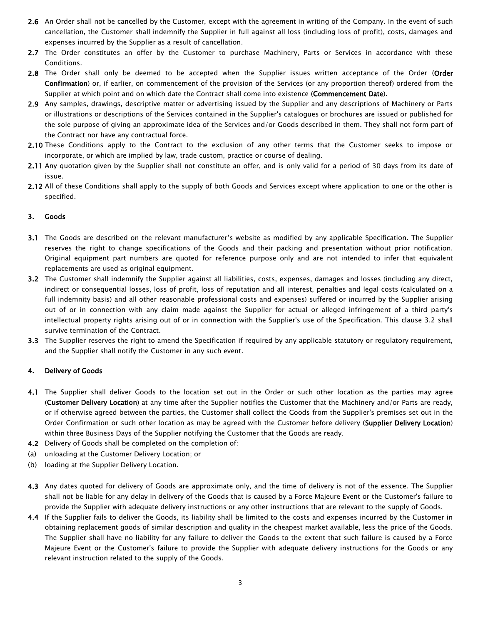- 2.6 An Order shall not be cancelled by the Customer, except with the agreement in writing of the Company. In the event of such cancellation, the Customer shall indemnify the Supplier in full against all loss (including loss of profit), costs, damages and expenses incurred by the Supplier as a result of cancellation.
- 2.7 The Order constitutes an offer by the Customer to purchase Machinery, Parts or Services in accordance with these Conditions.
- <span id="page-3-2"></span>2.8 The Order shall only be deemed to be accepted when the Supplier issues written acceptance of the Order (Order Confirmation) or, if earlier, on commencement of the provision of the Services (or any proportion thereof) ordered from the Supplier at which point and on which date the Contract shall come into existence (Commencement Date).
- 2.9 Any samples, drawings, descriptive matter or advertising issued by the Supplier and any descriptions of Machinery or Parts or illustrations or descriptions of the Services contained in the Supplier's catalogues or brochures are issued or published for the sole purpose of giving an approximate idea of the Services and/or Goods described in them. They shall not form part of the Contract nor have any contractual force.
- 2.10 These Conditions apply to the Contract to the exclusion of any other terms that the Customer seeks to impose or incorporate, or which are implied by law, trade custom, practice or course of dealing.
- 2.11 Any quotation given by the Supplier shall not constitute an offer, and is only valid for a period of 30 days from its date of issue.
- 2.12 All of these Conditions shall apply to the supply of both Goods and Services except where application to one or the other is specified.

#### <span id="page-3-0"></span>3. Goods

- 3.1 The Goods are described on the relevant manufacturer's website as modified by any applicable Specification. The Supplier reserves the right to change specifications of the Goods and their packing and presentation without prior notification. Original equipment part numbers are quoted for reference purpose only and are not intended to infer that equivalent replacements are used as original equipment.
- <span id="page-3-4"></span>3.2 The Customer shall indemnify the Supplier against all liabilities, costs, expenses, damages and losses (including any direct, indirect or consequential losses, loss of profit, loss of reputation and all interest, penalties and legal costs (calculated on a full indemnity basis) and all other reasonable professional costs and expenses) suffered or incurred by the Supplier arising out of or in connection with any claim made against the Supplier for actual or alleged infringement of a third party's intellectual property rights arising out of or in connection with the Supplier's use of the Specification. This [clause 3.2](#page-3-4) shall survive termination of the Contract.
- 3.3 The Supplier reserves the right to amend the Specification if required by any applicable statutory or regulatory requirement, and the Supplier shall notify the Customer in any such event.

#### <span id="page-3-3"></span><span id="page-3-1"></span>4. Delivery of Goods

- 4.1 The Supplier shall deliver Goods to the location set out in the Order or such other location as the parties may agree (Customer Delivery Location) at any time after the Supplier notifies the Customer that the Machinery and/or Parts are ready, or if otherwise agreed between the parties, the Customer shall collect the Goods from the Supplier's premises set out in the Order Confirmation or such other location as may be agreed with the Customer before delivery (Supplier Delivery Location) within three Business Days of the Supplier notifying the Customer that the Goods are ready.
- 4.2 Delivery of Goods shall be completed on the completion of:
- (a) unloading at the Customer Delivery Location; or
- (b) loading at the Supplier Delivery Location.
- 4.3 Any dates quoted for delivery of Goods are approximate only, and the time of delivery is not of the essence. The Supplier shall not be liable for any delay in delivery of the Goods that is caused by a Force Majeure Event or the Customer's failure to provide the Supplier with adequate delivery instructions or any other instructions that are relevant to the supply of Goods.
- 4.4 If the Supplier fails to deliver the Goods, its liability shall be limited to the costs and expenses incurred by the Customer in obtaining replacement goods of similar description and quality in the cheapest market available, less the price of the Goods. The Supplier shall have no liability for any failure to deliver the Goods to the extent that such failure is caused by a Force Majeure Event or the Customer's failure to provide the Supplier with adequate delivery instructions for the Goods or any relevant instruction related to the supply of the Goods.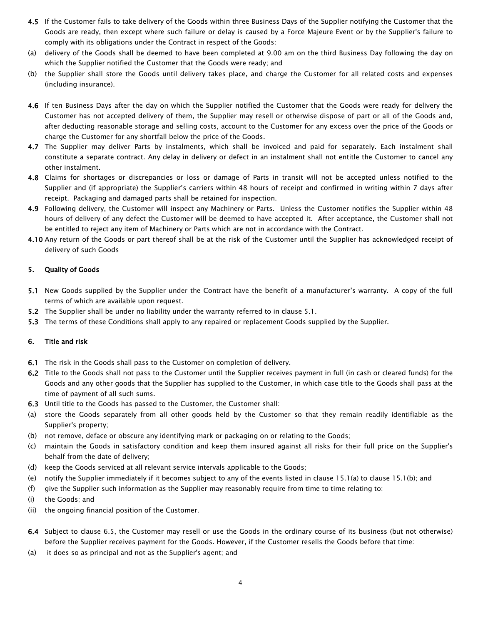- 4.5 If the Customer fails to take delivery of the Goods within three Business Days of the Supplier notifying the Customer that the Goods are ready, then except where such failure or delay is caused by a Force Majeure Event or by the Supplier's failure to comply with its obligations under the Contract in respect of the Goods:
- (a) delivery of the Goods shall be deemed to have been completed at 9.00 am on the third Business Day following the day on which the Supplier notified the Customer that the Goods were ready; and
- (b) the Supplier shall store the Goods until delivery takes place, and charge the Customer for all related costs and expenses (including insurance).
- 4.6 If ten Business Days after the day on which the Supplier notified the Customer that the Goods were ready for delivery the Customer has not accepted delivery of them, the Supplier may resell or otherwise dispose of part or all of the Goods and, after deducting reasonable storage and selling costs, account to the Customer for any excess over the price of the Goods or charge the Customer for any shortfall below the price of the Goods.
- 4.7 The Supplier may deliver Parts by instalments, which shall be invoiced and paid for separately. Each instalment shall constitute a separate contract. Any delay in delivery or defect in an instalment shall not entitle the Customer to cancel any other instalment.
- 4.8 Claims for shortages or discrepancies or loss or damage of Parts in transit will not be accepted unless notified to the Supplier and (if appropriate) the Supplier's carriers within 48 hours of receipt and confirmed in writing within 7 days after receipt. Packaging and damaged parts shall be retained for inspection.
- 4.9 Following delivery, the Customer will inspect any Machinery or Parts. Unless the Customer notifies the Supplier within 48 hours of delivery of any defect the Customer will be deemed to have accepted it. After acceptance, the Customer shall not be entitled to reject any item of Machinery or Parts which are not in accordance with the Contract.
- 4.10 Any return of the Goods or part thereof shall be at the risk of the Customer until the Supplier has acknowledged receipt of delivery of such Goods

## <span id="page-4-0"></span>5. Quality of Goods

- 5.1 New Goods supplied by the Supplier under the Contract have the benefit of a manufacturer's warranty. A copy of the full terms of which are available upon request.
- 5.2 The Supplier shall be under no liability under the warranty referred to in clause 5.1.
- <span id="page-4-1"></span>5.3 The terms of these Conditions shall apply to any repaired or replacement Goods supplied by the Supplier.

#### 6. Title and risk

- 6.1 The risk in the Goods shall pass to the Customer on completion of delivery.
- 6.2 Title to the Goods shall not pass to the Customer until the Supplier receives payment in full (in cash or cleared funds) for the Goods and any other goods that the Supplier has supplied to the Customer, in which case title to the Goods shall pass at the time of payment of all such sums.
- 6.3 Until title to the Goods has passed to the Customer, the Customer shall:
- (a) store the Goods separately from all other goods held by the Customer so that they remain readily identifiable as the Supplier's property;
- (b) not remove, deface or obscure any identifying mark or packaging on or relating to the Goods;
- (c) maintain the Goods in satisfactory condition and keep them insured against all risks for their full price on the Supplier's behalf from the date of delivery;
- (d) keep the Goods serviced at all relevant service intervals applicable to the Goods;
- (e) notify the Supplier immediately if it becomes subject to any of the events listed in [clause 15.1\(a\)](#page-8-2) to [clause 15.1\(b\);](#page-8-3) and
- (f) give the Supplier such information as the Supplier may reasonably require from time to time relating to:
- (i) the Goods; and
- <span id="page-4-2"></span>(ii) the ongoing financial position of the Customer.
- 6.4 Subject to [clause 6.5,](#page-5-2) the Customer may resell or use the Goods in the ordinary course of its business (but not otherwise) before the Supplier receives payment for the Goods. However, if the Customer resells the Goods before that time:
- (a) it does so as principal and not as the Supplier's agent; and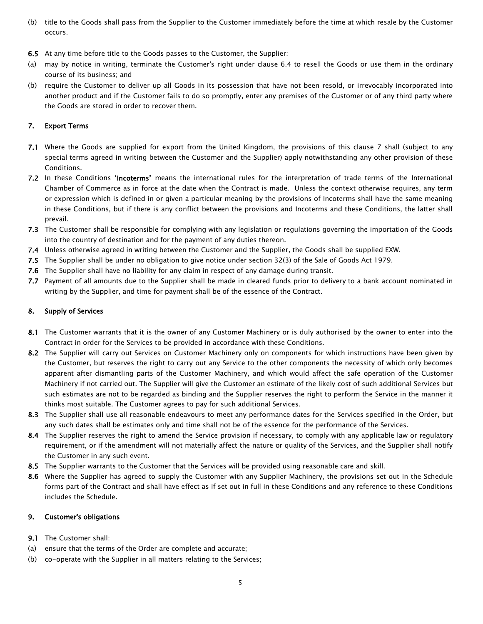- (b) title to the Goods shall pass from the Supplier to the Customer immediately before the time at which resale by the Customer occurs.
- <span id="page-5-2"></span>6.5 At any time before title to the Goods passes to the Customer, the Supplier:
- (a) may by notice in writing, terminate the Customer's right under [clause 6.4](#page-4-2) to resell the Goods or use them in the ordinary course of its business; and
- (b) require the Customer to deliver up all Goods in its possession that have not been resold, or irrevocably incorporated into another product and if the Customer fails to do so promptly, enter any premises of the Customer or of any third party where the Goods are stored in order to recover them.

# 7. Export Terms

- 7.1 Where the Goods are supplied for export from the United Kingdom, the provisions of this clause 7 shall (subject to any special terms agreed in writing between the Customer and the Supplier) apply notwithstanding any other provision of these Conditions.
- 7.2 In these Conditions 'Incoterms' means the international rules for the interpretation of trade terms of the International Chamber of Commerce as in force at the date when the Contract is made. Unless the context otherwise requires, any term or expression which is defined in or given a particular meaning by the provisions of Incoterms shall have the same meaning in these Conditions, but if there is any conflict between the provisions and Incoterms and these Conditions, the latter shall prevail.
- 7.3 The Customer shall be responsible for complying with any legislation or regulations governing the importation of the Goods into the country of destination and for the payment of any duties thereon.
- 7.4 Unless otherwise agreed in writing between the Customer and the Supplier, the Goods shall be supplied EXW.
- 7.5 The Supplier shall be under no obligation to give notice under section 32(3) of the Sale of Goods Act 1979.
- 7.6 The Supplier shall have no liability for any claim in respect of any damage during transit.
- 7.7 Payment of all amounts due to the Supplier shall be made in cleared funds prior to delivery to a bank account nominated in writing by the Supplier, and time for payment shall be of the essence of the Contract.

## <span id="page-5-0"></span>8. Supply of Services

- 8.1 The Customer warrants that it is the owner of any Customer Machinery or is duly authorised by the owner to enter into the Contract in order for the Services to be provided in accordance with these Conditions.
- 8.2 The Supplier will carry out Services on Customer Machinery only on components for which instructions have been given by the Customer, but reserves the right to carry out any Service to the other components the necessity of which only becomes apparent after dismantling parts of the Customer Machinery, and which would affect the safe operation of the Customer Machinery if not carried out. The Supplier will give the Customer an estimate of the likely cost of such additional Services but such estimates are not to be regarded as binding and the Supplier reserves the right to perform the Service in the manner it thinks most suitable. The Customer agrees to pay for such additional Services.
- 8.3 The Supplier shall use all reasonable endeavours to meet any performance dates for the Services specified in the Order, but any such dates shall be estimates only and time shall not be of the essence for the performance of the Services.
- 8.4 The Supplier reserves the right to amend the Service provision if necessary, to comply with any applicable law or regulatory requirement, or if the amendment will not materially affect the nature or quality of the Services, and the Supplier shall notify the Customer in any such event.
- 8.5 The Supplier warrants to the Customer that the Services will be provided using reasonable care and skill.
- 8.6 Where the Supplier has agreed to supply the Customer with any Supplier Machinery, the provisions set out in the Schedule forms part of the Contract and shall have effect as if set out in full in these Conditions and any reference to these Conditions includes the Schedule.

## <span id="page-5-1"></span>9. Customer's obligations

- 9.1 The Customer shall:
- (a) ensure that the terms of the Order are complete and accurate;
- (b) co-operate with the Supplier in all matters relating to the Services;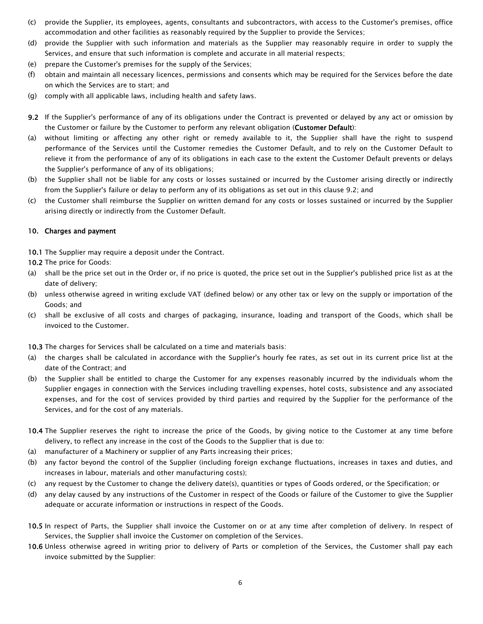- (c) provide the Supplier, its employees, agents, consultants and subcontractors, with access to the Customer's premises, office accommodation and other facilities as reasonably required by the Supplier to provide the Services;
- (d) provide the Supplier with such information and materials as the Supplier may reasonably require in order to supply the Services, and ensure that such information is complete and accurate in all material respects;
- (e) prepare the Customer's premises for the supply of the Services;
- (f) obtain and maintain all necessary licences, permissions and consents which may be required for the Services before the date on which the Services are to start; and
- <span id="page-6-1"></span>(g) comply with all applicable laws, including health and safety laws.
- 9.2 If the Supplier's performance of any of its obligations under the Contract is prevented or delayed by any act or omission by the Customer or failure by the Customer to perform any relevant obligation (Customer Default):
- (a) without limiting or affecting any other right or remedy available to it, the Supplier shall have the right to suspend performance of the Services until the Customer remedies the Customer Default, and to rely on the Customer Default to relieve it from the performance of any of its obligations in each case to the extent the Customer Default prevents or delays the Supplier's performance of any of its obligations;
- (b) the Supplier shall not be liable for any costs or losses sustained or incurred by the Customer arising directly or indirectly from the Supplier's failure or delay to perform any of its obligations as set out in this [clause 9.2;](#page-6-1) and
- (c) the Customer shall reimburse the Supplier on written demand for any costs or losses sustained or incurred by the Supplier arising directly or indirectly from the Customer Default.

## <span id="page-6-0"></span>10. Charges and payment

10.1 The Supplier may require a deposit under the Contract.

10.2 The price for Goods:

- (a) shall be the price set out in the Order or, if no price is quoted, the price set out in the Supplier's published price list as at the date of delivery;
- (b) unless otherwise agreed in writing exclude VAT (defined below) or any other tax or levy on the supply or importation of the Goods; and
- (c) shall be exclusive of all costs and charges of packaging, insurance, loading and transport of the Goods, which shall be invoiced to the Customer.

10.3 The charges for Services shall be calculated on a time and materials basis:

- (a) the charges shall be calculated in accordance with the Supplier's hourly fee rates, as set out in its current price list at the date of the Contract; and
- (b) the Supplier shall be entitled to charge the Customer for any expenses reasonably incurred by the individuals whom the Supplier engages in connection with the Services including travelling expenses, hotel costs, subsistence and any associated expenses, and for the cost of services provided by third parties and required by the Supplier for the performance of the Services, and for the cost of any materials.
- 10.4 The Supplier reserves the right to increase the price of the Goods, by giving notice to the Customer at any time before delivery, to reflect any increase in the cost of the Goods to the Supplier that is due to:
- (a) manufacturer of a Machinery or supplier of any Parts increasing their prices;
- (b) any factor beyond the control of the Supplier (including foreign exchange fluctuations, increases in taxes and duties, and increases in labour, materials and other manufacturing costs);
- (c) any request by the Customer to change the delivery date(s), quantities or types of Goods ordered, or the Specification; or
- (d) any delay caused by any instructions of the Customer in respect of the Goods or failure of the Customer to give the Supplier adequate or accurate information or instructions in respect of the Goods.
- 10.5 In respect of Parts, the Supplier shall invoice the Customer on or at any time after completion of delivery. In respect of Services, the Supplier shall invoice the Customer on completion of the Services.
- 10.6 Unless otherwise agreed in writing prior to delivery of Parts or completion of the Services, the Customer shall pay each invoice submitted by the Supplier: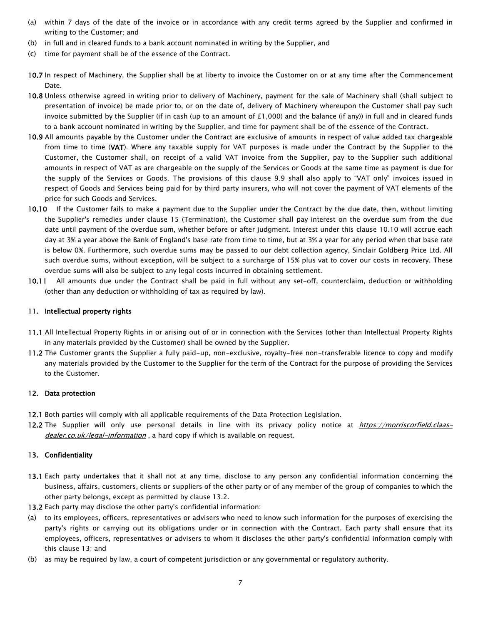- (a) within 7 days of the date of the invoice or in accordance with any credit terms agreed by the Supplier and confirmed in writing to the Customer; and
- (b) in full and in cleared funds to a bank account nominated in writing by the Supplier, and
- (c) time for payment shall be of the essence of the Contract.
- 10.7 In respect of Machinery, the Supplier shall be at liberty to invoice the Customer on or at any time after the Commencement Date.
- 10.8 Unless otherwise agreed in writing prior to delivery of Machinery, payment for the sale of Machinery shall (shall subject to presentation of invoice) be made prior to, or on the date of, delivery of Machinery whereupon the Customer shall pay such invoice submitted by the Supplier (if in cash (up to an amount of  $£1,000$ ) and the balance (if any)) in full and in cleared funds to a bank account nominated in writing by the Supplier, and time for payment shall be of the essence of the Contract.
- 10.9 All amounts payable by the Customer under the Contract are exclusive of amounts in respect of value added tax chargeable from time to time (VAT). Where any taxable supply for VAT purposes is made under the Contract by the Supplier to the Customer, the Customer shall, on receipt of a valid VAT invoice from the Supplier, pay to the Supplier such additional amounts in respect of VAT as are chargeable on the supply of the Services or Goods at the same time as payment is due for the supply of the Services or Goods. The provisions of this clause 9.9 shall also apply to "VAT only" invoices issued in respect of Goods and Services being paid for by third party insurers, who will not cover the payment of VAT elements of the price for such Goods and Services.
- <span id="page-7-3"></span>10.10 If the Customer fails to make a payment due to the Supplier under the Contract by the due date, then, without limiting the Supplier's remedies under [clause 15](#page-8-1) (Termination), the Customer shall pay interest on the overdue sum from the due date until payment of the overdue sum, whether before or after judgment. Interest under this [clause 10.10](#page-7-3) will accrue each day at 3% a year above the Bank of England's base rate from time to time, but at 3% a year for any period when that base rate is below 0%. Furthermore, such overdue sums may be passed to our debt collection agency, Sinclair Goldberg Price Ltd. All such overdue sums, without exception, will be subject to a surcharge of 15% plus vat to cover our costs in recovery. These overdue sums will also be subject to any legal costs incurred in obtaining settlement.
- 10.11 All amounts due under the Contract shall be paid in full without any set-off, counterclaim, deduction or withholding (other than any deduction or withholding of tax as required by law).

#### <span id="page-7-0"></span>11. Intellectual property rights

- 11.1 All Intellectual Property Rights in or arising out of or in connection with the Services (other than Intellectual Property Rights in any materials provided by the Customer) shall be owned by the Supplier.
- 11.2 The Customer grants the Supplier a fully paid-up, non-exclusive, royalty-free non-transferable licence to copy and modify any materials provided by the Customer to the Supplier for the term of the Contract for the purpose of providing the Services to the Customer.

#### <span id="page-7-1"></span>12. Data protection

- 12.1 Both parties will comply with all applicable requirements of the Data Protection Legislation.
- 12.2 The Supplier will only use personal details in line with its privacy policy notice at *[https://morriscorfield.claas](https://morriscorfield.claas-dealer.co.uk/legal-information)*[dealer.co.uk/legal-information](https://morriscorfield.claas-dealer.co.uk/legal-information), a hard copy if which is available on request.

## <span id="page-7-2"></span>13. Confidentiality

- 13.1 Each party undertakes that it shall not at any time, disclose to any person any confidential information concerning the business, affairs, customers, clients or suppliers of the other party or of any member of the group of companies to which the other party belongs, except as permitted b[y clause 13.2.](#page-7-4)
- <span id="page-7-4"></span>13.2 Each party may disclose the other party's confidential information:
- (a) to its employees, officers, representatives or advisers who need to know such information for the purposes of exercising the party's rights or carrying out its obligations under or in connection with the Contract. Each party shall ensure that its employees, officers, representatives or advisers to whom it discloses the other party's confidential information comply with thi[s clause 13;](#page-7-2) and
- (b) as may be required by law, a court of competent jurisdiction or any governmental or regulatory authority.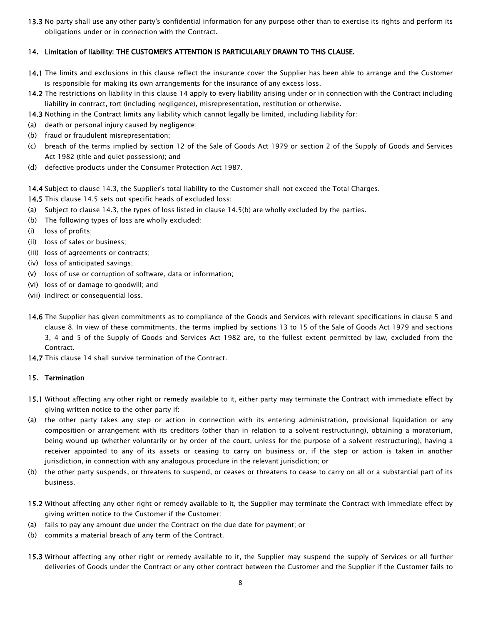13.3 No party shall use any other party's confidential information for any purpose other than to exercise its rights and perform its obligations under or in connection with the Contract.

## <span id="page-8-0"></span>14. Limitation of liability: THE CUSTOMER'S ATTENTION IS PARTICULARLY DRAWN TO THIS CLAUSE.

- 14.1 The limits and exclusions in this clause reflect the insurance cover the Supplier has been able to arrange and the Customer is responsible for making its own arrangements for the insurance of any excess loss.
- 14.2 The restrictions on liability in this [clause 14](#page-8-0) apply to every liability arising under or in connection with the Contract including liability in contract, tort (including negligence), misrepresentation, restitution or otherwise.
- <span id="page-8-4"></span>14.3 Nothing in the Contract limits any liability which cannot legally be limited, including liability for:
- (a) death or personal injury caused by negligence;
- (b) fraud or fraudulent misrepresentation;
- (c) breach of the terms implied by section 12 of the Sale of Goods Act 1979 or section 2 of the Supply of Goods and Services Act 1982 (title and quiet possession); and
- (d) defective products under the Consumer Protection Act 1987.

14.4 Subject t[o clause 14.3,](#page-8-4) the Supplier's total liability to the Customer shall not exceed the Total Charges.

- <span id="page-8-5"></span>14.5 This [clause 14.5](#page-8-5) sets out specific heads of excluded loss:
- (a) Subject to [clause 14.3,](#page-8-4) the types of loss listed i[n clause](#page-8-6) [14.5\(b\)](#page-8-6) are wholly excluded by the parties.
- <span id="page-8-6"></span>(b) The following types of loss are wholly excluded:
- (i) loss of profits;
- (ii) loss of sales or business;
- (iii) loss of agreements or contracts;
- (iv) loss of anticipated savings;
- (v) loss of use or corruption of software, data or information;
- (vi) loss of or damage to goodwill; and
- (vii) indirect or consequential loss.
- 14.6 The Supplier has given commitments as to compliance of the Goods and Services with relevant specifications in [clause 5](#page-4-0) and [clause 8.](#page-5-0) In view of these commitments, the terms implied by sections 13 to 15 of the Sale of Goods Act 1979 and sections 3, 4 and 5 of the Supply of Goods and Services Act 1982 are, to the fullest extent permitted by law, excluded from the Contract.
- <span id="page-8-1"></span>14.7 This [clause 14](#page-8-0) shall survive termination of the Contract.

#### 15. Termination

- 15.1 Without affecting any other right or remedy available to it, either party may terminate the Contract with immediate effect by giving written notice to the other party if:
- <span id="page-8-2"></span>(a) the other party takes any step or action in connection with its entering administration, provisional liquidation or any composition or arrangement with its creditors (other than in relation to a solvent restructuring), obtaining a moratorium, being wound up (whether voluntarily or by order of the court, unless for the purpose of a solvent restructuring), having a receiver appointed to any of its assets or ceasing to carry on business or, if the step or action is taken in another jurisdiction, in connection with any analogous procedure in the relevant jurisdiction; or
- <span id="page-8-3"></span>(b) the other party suspends, or threatens to suspend, or ceases or threatens to cease to carry on all or a substantial part of its business.
- 15.2 Without affecting any other right or remedy available to it, the Supplier may terminate the Contract with immediate effect by giving written notice to the Customer if the Customer:
- (a) fails to pay any amount due under the Contract on the due date for payment; or
- (b) commits a material breach of any term of the Contract.
- 15.3 Without affecting any other right or remedy available to it, the Supplier may suspend the supply of Services or all further deliveries of Goods under the Contract or any other contract between the Customer and the Supplier if the Customer fails to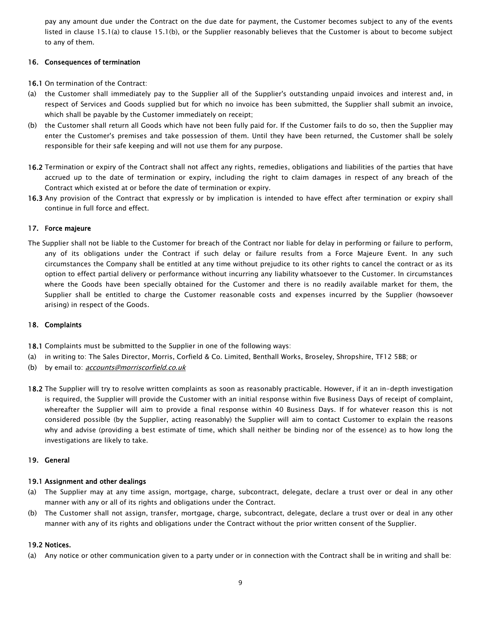pay any amount due under the Contract on the due date for payment, the Customer becomes subject to any of the events listed in [clause 15.1\(a\)](#page-8-2) to [clause 15.1\(b\),](#page-8-3) or the Supplier reasonably believes that the Customer is about to become subject to any of them.

## <span id="page-9-0"></span>16. Consequences of termination

16.1 On termination of the Contract:

- (a) the Customer shall immediately pay to the Supplier all of the Supplier's outstanding unpaid invoices and interest and, in respect of Services and Goods supplied but for which no invoice has been submitted, the Supplier shall submit an invoice, which shall be payable by the Customer immediately on receipt;
- (b) the Customer shall return all Goods which have not been fully paid for. If the Customer fails to do so, then the Supplier may enter the Customer's premises and take possession of them. Until they have been returned, the Customer shall be solely responsible for their safe keeping and will not use them for any purpose.
- 16.2 Termination or expiry of the Contract shall not affect any rights, remedies, obligations and liabilities of the parties that have accrued up to the date of termination or expiry, including the right to claim damages in respect of any breach of the Contract which existed at or before the date of termination or expiry.
- 16.3 Any provision of the Contract that expressly or by implication is intended to have effect after termination or expiry shall continue in full force and effect.

## <span id="page-9-1"></span>17. Force majeure

The Supplier shall not be liable to the Customer for breach of the Contract nor liable for delay in performing or failure to perform, any of its obligations under the Contract if such delay or failure results from a Force Majeure Event. In any such circumstances the Company shall be entitled at any time without prejudice to its other rights to cancel the contract or as its option to effect partial delivery or performance without incurring any liability whatsoever to the Customer. In circumstances where the Goods have been specially obtained for the Customer and there is no readily available market for them, the Supplier shall be entitled to charge the Customer reasonable costs and expenses incurred by the Supplier (howsoever arising) in respect of the Goods.

## <span id="page-9-2"></span>18. Complaints

- 18.1 Complaints must be submitted to the Supplier in one of the following ways:
- (a) in writing to: The Sales Director, Morris, Corfield & Co. Limited, Benthall Works, Broseley, Shropshire, TF12 5BB; or
- (b) by email to: *[accounts@morriscorfield.co.uk](mailto:accounts@morriscorfield.co.uk)*
- 18.2 The Supplier will try to resolve written complaints as soon as reasonably practicable. However, if it an in-depth investigation is required, the Supplier will provide the Customer with an initial response within five Business Days of receipt of complaint, whereafter the Supplier will aim to provide a final response within 40 Business Days. If for whatever reason this is not considered possible (by the Supplier, acting reasonably) the Supplier will aim to contact Customer to explain the reasons why and advise (providing a best estimate of time, which shall neither be binding nor of the essence) as to how long the investigations are likely to take.

## <span id="page-9-3"></span>19. General

## 19.1 Assignment and other dealings

- (a) The Supplier may at any time assign, mortgage, charge, subcontract, delegate, declare a trust over or deal in any other manner with any or all of its rights and obligations under the Contract.
- (b) The Customer shall not assign, transfer, mortgage, charge, subcontract, delegate, declare a trust over or deal in any other manner with any of its rights and obligations under the Contract without the prior written consent of the Supplier.

## 19.2 Notices.

(a) Any notice or other communication given to a party under or in connection with the Contract shall be in writing and shall be: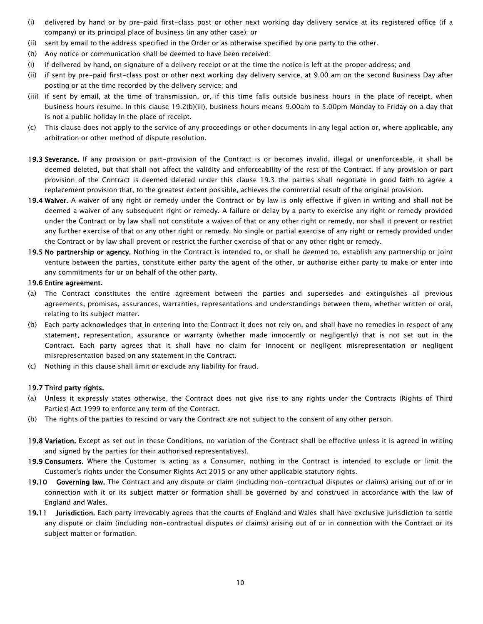- (i) delivered by hand or by pre-paid first-class post or other next working day delivery service at its registered office (if a company) or its principal place of business (in any other case); or
- (ii) sent by email to the address specified in the Order or as otherwise specified by one party to the other.
- (b) Any notice or communication shall be deemed to have been received:
- (i) if delivered by hand, on signature of a delivery receipt or at the time the notice is left at the proper address; and
- (ii) if sent by pre-paid first-class post or other next working day delivery service, at 9.00 am on the second Business Day after posting or at the time recorded by the delivery service; and
- <span id="page-10-1"></span>(iii) if sent by email, at the time of transmission, or, if this time falls outside business hours in the place of receipt, when business hours resume. In this [clause 19.2\(b\)\(iii\),](#page-10-1) business hours means 9.00am to 5.00pm Monday to Friday on a day that is not a public holiday in the place of receipt.
- (c) This clause does not apply to the service of any proceedings or other documents in any legal action or, where applicable, any arbitration or other method of dispute resolution.
- <span id="page-10-2"></span>19.3 Severance. If any provision or part-provision of the Contract is or becomes invalid, illegal or unenforceable, it shall be deemed deleted, but that shall not affect the validity and enforceability of the rest of the Contract. If any provision or part provision of the Contract is deemed deleted under this [clause 19.3](#page-10-2) the parties shall negotiate in good faith to agree a replacement provision that, to the greatest extent possible, achieves the commercial result of the original provision.
- 19.4 Waiver. A waiver of any right or remedy under the Contract or by law is only effective if given in writing and shall not be deemed a waiver of any subsequent right or remedy. A failure or delay by a party to exercise any right or remedy provided under the Contract or by law shall not constitute a waiver of that or any other right or remedy, nor shall it prevent or restrict any further exercise of that or any other right or remedy. No single or partial exercise of any right or remedy provided under the Contract or by law shall prevent or restrict the further exercise of that or any other right or remedy.
- 19.5 No partnership or agency. Nothing in the Contract is intended to, or shall be deemed to, establish any partnership or joint venture between the parties, constitute either party the agent of the other, or authorise either party to make or enter into any commitments for or on behalf of the other party.

#### 19.6 Entire agreement.

- (a) The Contract constitutes the entire agreement between the parties and supersedes and extinguishes all previous agreements, promises, assurances, warranties, representations and understandings between them, whether written or oral, relating to its subject matter.
- (b) Each party acknowledges that in entering into the Contract it does not rely on, and shall have no remedies in respect of any statement, representation, assurance or warranty (whether made innocently or negligently) that is not set out in the Contract. Each party agrees that it shall have no claim for innocent or negligent misrepresentation or negligent misrepresentation based on any statement in the Contract.
- (c) Nothing in this clause shall limit or exclude any liability for fraud.

#### 19.7 Third party rights.

- (a) Unless it expressly states otherwise, the Contract does not give rise to any rights under the Contracts (Rights of Third Parties) Act 1999 to enforce any term of the Contract.
- <span id="page-10-0"></span>(b) The rights of the parties to rescind or vary the Contract are not subject to the consent of any other person.
- 19.8 Variation. Except as set out in these Conditions, no variation of the Contract shall be effective unless it is agreed in writing and signed by the parties (or their authorised representatives).
- 19.9 Consumers. Where the Customer is acting as a Consumer, nothing in the Contract is intended to exclude or limit the Customer's rights under the Consumer Rights Act 2015 or any other applicable statutory rights.
- 19.10 Governing law. The Contract and any dispute or claim (including non-contractual disputes or claims) arising out of or in connection with it or its subject matter or formation shall be governed by and construed in accordance with the law of England and Wales.
- 19.11 Jurisdiction. Each party irrevocably agrees that the courts of England and Wales shall have exclusive jurisdiction to settle any dispute or claim (including non-contractual disputes or claims) arising out of or in connection with the Contract or its subject matter or formation.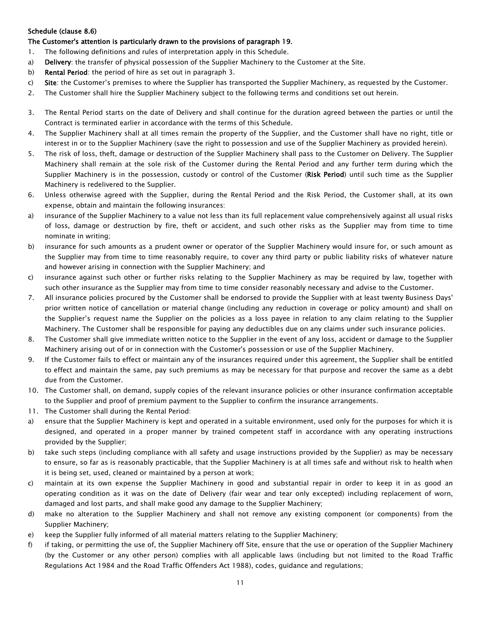## <span id="page-11-0"></span>Schedule (clause 8.6)

## The Customer's attention is particularly drawn to the provisions of paragraph 19.

- 1. The following definitions and rules of interpretation apply in this Schedule.
- a) **Delivery**: the transfer of physical possession of the Supplier Machinery to the Customer at the Site.
- b) Rental Period: the period of hire as set out in paragraph 3.
- c) Site: the Customer's premises to where the Supplier has transported the Supplier Machinery, as requested by the Customer.
- 2. The Customer shall hire the Supplier Machinery subject to the following terms and conditions set out herein.
- 3. The Rental Period starts on the date of Delivery and shall continue for the duration agreed between the parties or until the Contract is terminated earlier in accordance with the terms of this Schedule.
- 4. The Supplier Machinery shall at all times remain the property of the Supplier, and the Customer shall have no right, title or interest in or to the Supplier Machinery (save the right to possession and use of the Supplier Machinery as provided herein).
- 5. The risk of loss, theft, damage or destruction of the Supplier Machinery shall pass to the Customer on Delivery. The Supplier Machinery shall remain at the sole risk of the Customer during the Rental Period and any further term during which the Supplier Machinery is in the possession, custody or control of the Customer (Risk Period) until such time as the Supplier Machinery is redelivered to the Supplier.
- 6. Unless otherwise agreed with the Supplier, during the Rental Period and the Risk Period, the Customer shall, at its own expense, obtain and maintain the following insurances:
- a) insurance of the Supplier Machinery to a value not less than its full replacement value comprehensively against all usual risks of loss, damage or destruction by fire, theft or accident, and such other risks as the Supplier may from time to time nominate in writing;
- b) insurance for such amounts as a prudent owner or operator of the Supplier Machinery would insure for, or such amount as the Supplier may from time to time reasonably require, to cover any third party or public liability risks of whatever nature and however arising in connection with the Supplier Machinery; and
- c) insurance against such other or further risks relating to the Supplier Machinery as may be required by law, together with such other insurance as the Supplier may from time to time consider reasonably necessary and advise to the Customer.
- 7. All insurance policies procured by the Customer shall be endorsed to provide the Supplier with at least twenty Business Days' prior written notice of cancellation or material change (including any reduction in coverage or policy amount) and shall on the Supplier's request name the Supplier on the policies as a loss payee in relation to any claim relating to the Supplier Machinery. The Customer shall be responsible for paying any deductibles due on any claims under such insurance policies.
- 8. The Customer shall give immediate written notice to the Supplier in the event of any loss, accident or damage to the Supplier Machinery arising out of or in connection with the Customer's possession or use of the Supplier Machinery.
- 9. If the Customer fails to effect or maintain any of the insurances required under this agreement, the Supplier shall be entitled to effect and maintain the same, pay such premiums as may be necessary for that purpose and recover the same as a debt due from the Customer.
- 10. The Customer shall, on demand, supply copies of the relevant insurance policies or other insurance confirmation acceptable to the Supplier and proof of premium payment to the Supplier to confirm the insurance arrangements.
- 11. The Customer shall during the Rental Period:
- a) ensure that the Supplier Machinery is kept and operated in a suitable environment, used only for the purposes for which it is designed, and operated in a proper manner by trained competent staff in accordance with any operating instructions provided by the Supplier;
- b) take such steps (including compliance with all safety and usage instructions provided by the Supplier) as may be necessary to ensure, so far as is reasonably practicable, that the Supplier Machinery is at all times safe and without risk to health when it is being set, used, cleaned or maintained by a person at work;
- c) maintain at its own expense the Supplier Machinery in good and substantial repair in order to keep it in as good an operating condition as it was on the date of Delivery (fair wear and tear only excepted) including replacement of worn, damaged and lost parts, and shall make good any damage to the Supplier Machinery;
- d) make no alteration to the Supplier Machinery and shall not remove any existing component (or components) from the Supplier Machinery;
- e) keep the Supplier fully informed of all material matters relating to the Supplier Machinery;
- f) if taking, or permitting the use of, the Supplier Machinery off Site, ensure that the use or operation of the Supplier Machinery (by the Customer or any other person) complies with all applicable laws (including but not limited to the Road Traffic Regulations Act 1984 and the Road Traffic Offenders Act 1988), codes, guidance and regulations;